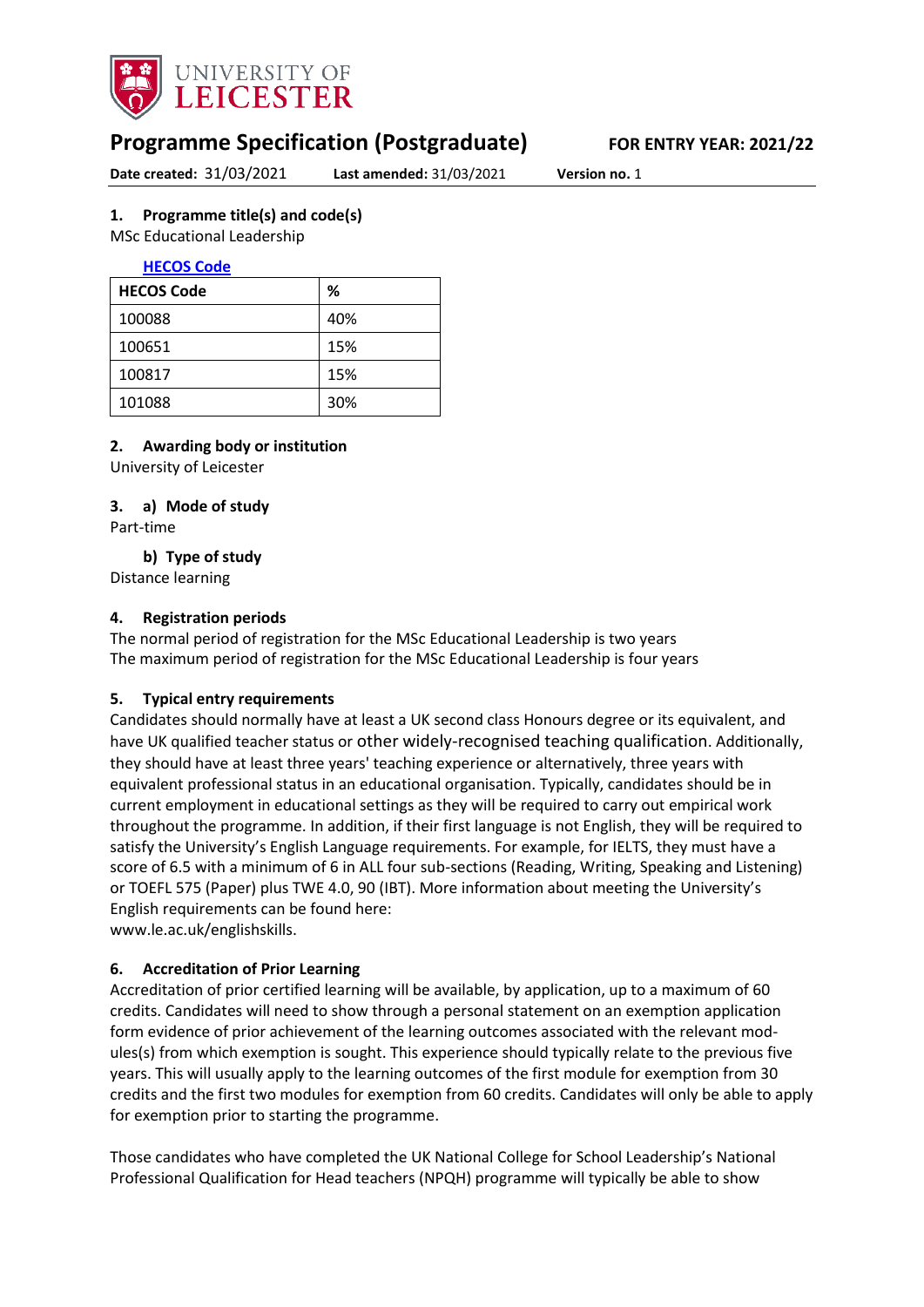

# **Programme Specification (Postgraduate) FOR ENTRY YEAR: 2021/22**

**Date created:** 31/03/2021 **Last amended:** 31/03/2021 **Version no.** 1

#### <span id="page-0-0"></span>**1. Programme title(s) and code(s)**

MSc Educational Leadership

#### **[HECOS Code](https://www.hesa.ac.uk/innovation/hecos)**

| <b>HECOS Code</b> | ℅   |
|-------------------|-----|
| 100088            | 40% |
| 100651            | 15% |
| 100817            | 15% |
| 101088            | 30% |

#### **2. Awarding body or institution**

University of Leicester

#### **3. a) Mode of study**

Part-time

**b) Type of study**

Distance learning

#### **4. Registration periods**

The normal period of registration for the MSc Educational Leadership is two years The maximum period of registration for the MSc Educational Leadership is four years

#### **5. Typical entry requirements**

Candidates should normally have at least a UK second class Honours degree or its equivalent, and have UK qualified teacher status or other widely-recognised teaching qualification. Additionally, they should have at least three years' teaching experience or alternatively, three years with equivalent professional status in an educational organisation. Typically, candidates should be in current employment in educational settings as they will be required to carry out empirical work throughout the programme. In addition, if their first language is not English, they will be required to satisfy the University's English Language requirements. For example, for IELTS, they must have a score of 6.5 with a minimum of 6 in ALL four sub-sections (Reading, Writing, Speaking and Listening) or TOEFL 575 (Paper) plus TWE 4.0, 90 (IBT). More information about meeting the University's English requirements can be found here:

www.le.ac.uk/englishskills.

#### **6. Accreditation of Prior Learning**

Accreditation of prior certified learning will be available, by application, up to a maximum of 60 credits. Candidates will need to show through a personal statement on an exemption application form evidence of prior achievement of the learning outcomes associated with the relevant modules(s) from which exemption is sought. This experience should typically relate to the previous five years. This will usually apply to the learning outcomes of the first module for exemption from 30 credits and the first two modules for exemption from 60 credits. Candidates will only be able to apply for exemption prior to starting the programme.

Those candidates who have completed the UK National College for School Leadership's National Professional Qualification for Head teachers (NPQH) programme will typically be able to show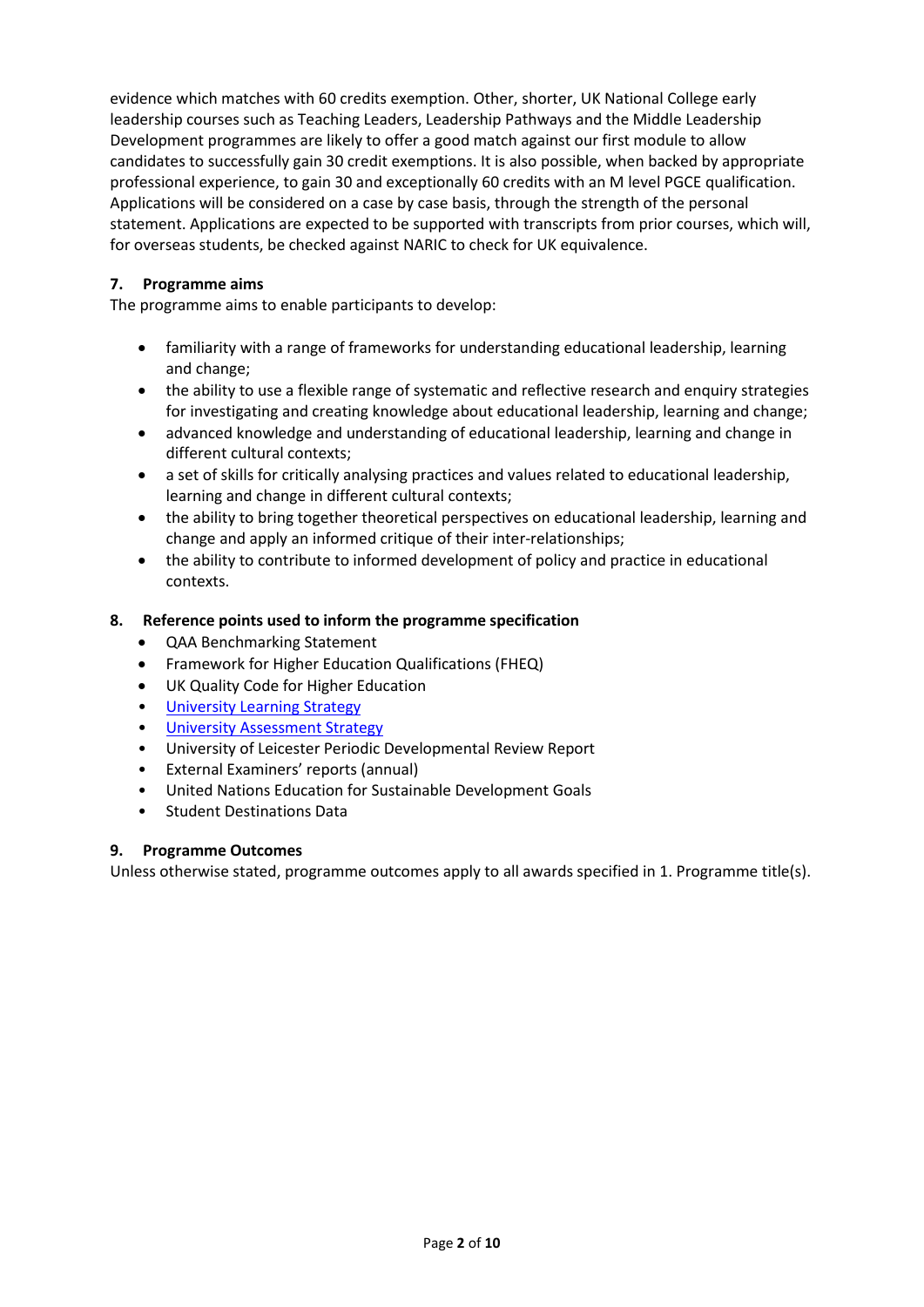evidence which matches with 60 credits exemption. Other, shorter, UK National College early leadership courses such as Teaching Leaders, Leadership Pathways and the Middle Leadership Development programmes are likely to offer a good match against our first module to allow candidates to successfully gain 30 credit exemptions. It is also possible, when backed by appropriate professional experience, to gain 30 and exceptionally 60 credits with an M level PGCE qualification. Applications will be considered on a case by case basis, through the strength of the personal statement. Applications are expected to be supported with transcripts from prior courses, which will, for overseas students, be checked against NARIC to check for UK equivalence.

#### **7. Programme aims**

The programme aims to enable participants to develop:

- familiarity with a range of frameworks for understanding educational leadership, learning and change;
- the ability to use a flexible range of systematic and reflective research and enquiry strategies for investigating and creating knowledge about educational leadership, learning and change;
- advanced knowledge and understanding of educational leadership, learning and change in different cultural contexts;
- a set of skills for critically analysing practices and values related to educational leadership, learning and change in different cultural contexts;
- the ability to bring together theoretical perspectives on educational leadership, learning and change and apply an informed critique of their inter-relationships;
- the ability to contribute to informed development of policy and practice in educational contexts.

#### **8. Reference points used to inform the programme specification**

- QAA Benchmarking Statement
- Framework for Higher Education Qualifications (FHEQ)
- UK Quality Code for Higher Education
- [University Learning](https://www2.le.ac.uk/offices/sas2/quality/learnteach) Strategy
- [University Assessment Strategy](https://www2.le.ac.uk/offices/sas2/quality/learnteach)
- University of Leicester Periodic Developmental Review Report
- External Examiners' reports (annual)
- United Nations Education for Sustainable Development Goals
- Student Destinations Data

#### **9. Programme Outcomes**

Unless otherwise stated, programme outcomes apply to all awards specified in [1.](#page-0-0) Programme title(s).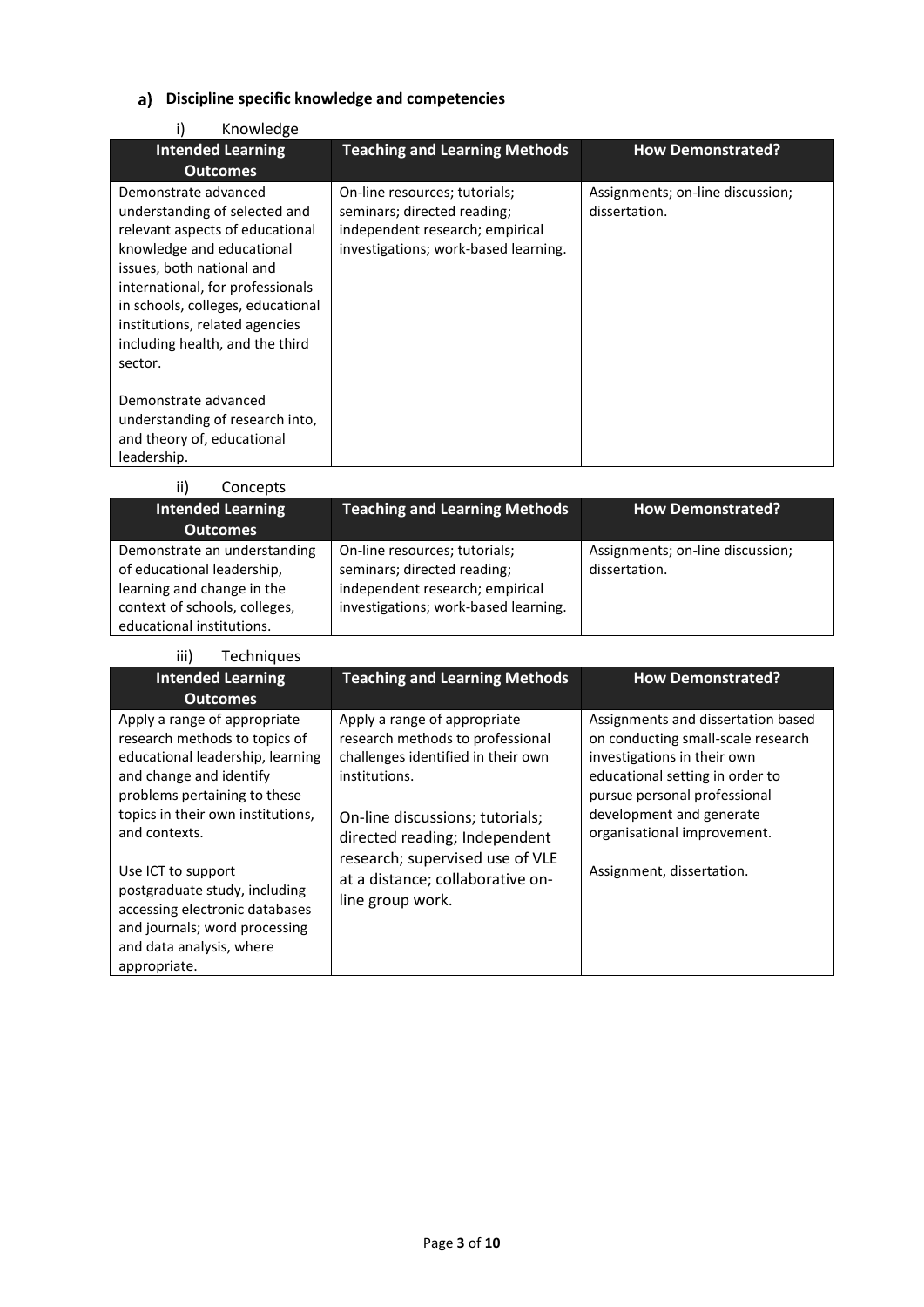## **Discipline specific knowledge and competencies**

| Knowledge                                                                                                                                                                                                                                                                                                   |                                                                                                                                         |                                                   |
|-------------------------------------------------------------------------------------------------------------------------------------------------------------------------------------------------------------------------------------------------------------------------------------------------------------|-----------------------------------------------------------------------------------------------------------------------------------------|---------------------------------------------------|
| <b>Intended Learning</b>                                                                                                                                                                                                                                                                                    | <b>Teaching and Learning Methods</b>                                                                                                    | <b>How Demonstrated?</b>                          |
| <b>Outcomes</b>                                                                                                                                                                                                                                                                                             |                                                                                                                                         |                                                   |
| Demonstrate advanced<br>understanding of selected and<br>relevant aspects of educational<br>knowledge and educational<br>issues, both national and<br>international, for professionals<br>in schools, colleges, educational<br>institutions, related agencies<br>including health, and the third<br>sector. | On-line resources; tutorials;<br>seminars; directed reading;<br>independent research; empirical<br>investigations; work-based learning. | Assignments; on-line discussion;<br>dissertation. |
| Demonstrate advanced<br>understanding of research into,<br>and theory of, educational<br>leadership.                                                                                                                                                                                                        |                                                                                                                                         |                                                   |

| ii)<br>Concepts                                                                                                                                        |                                                                                                                                         |                                                   |
|--------------------------------------------------------------------------------------------------------------------------------------------------------|-----------------------------------------------------------------------------------------------------------------------------------------|---------------------------------------------------|
| <b>Intended Learning</b>                                                                                                                               | <b>Teaching and Learning Methods</b>                                                                                                    | <b>How Demonstrated?</b>                          |
| <b>Outcomes</b>                                                                                                                                        |                                                                                                                                         |                                                   |
| Demonstrate an understanding<br>of educational leadership,<br>learning and change in the<br>context of schools, colleges,<br>educational institutions. | On-line resources; tutorials;<br>seminars; directed reading;<br>independent research; empirical<br>investigations; work-based learning. | Assignments; on-line discussion;<br>dissertation. |

| iii)<br>Techniques                                                                                                                                                                                                                                                                                                                                                                       |                                                                                                                                                                                                                                                                                        |                                                                                                                                                                                                                                                                    |
|------------------------------------------------------------------------------------------------------------------------------------------------------------------------------------------------------------------------------------------------------------------------------------------------------------------------------------------------------------------------------------------|----------------------------------------------------------------------------------------------------------------------------------------------------------------------------------------------------------------------------------------------------------------------------------------|--------------------------------------------------------------------------------------------------------------------------------------------------------------------------------------------------------------------------------------------------------------------|
| <b>Intended Learning</b><br><b>Outcomes</b>                                                                                                                                                                                                                                                                                                                                              | <b>Teaching and Learning Methods</b>                                                                                                                                                                                                                                                   | <b>How Demonstrated?</b>                                                                                                                                                                                                                                           |
| Apply a range of appropriate<br>research methods to topics of<br>educational leadership, learning<br>and change and identify<br>problems pertaining to these<br>topics in their own institutions,<br>and contexts.<br>Use ICT to support<br>postgraduate study, including<br>accessing electronic databases<br>and journals; word processing<br>and data analysis, where<br>appropriate. | Apply a range of appropriate<br>research methods to professional<br>challenges identified in their own<br>institutions.<br>On-line discussions; tutorials;<br>directed reading; Independent<br>research; supervised use of VLE<br>at a distance; collaborative on-<br>line group work. | Assignments and dissertation based<br>on conducting small-scale research<br>investigations in their own<br>educational setting in order to<br>pursue personal professional<br>development and generate<br>organisational improvement.<br>Assignment, dissertation. |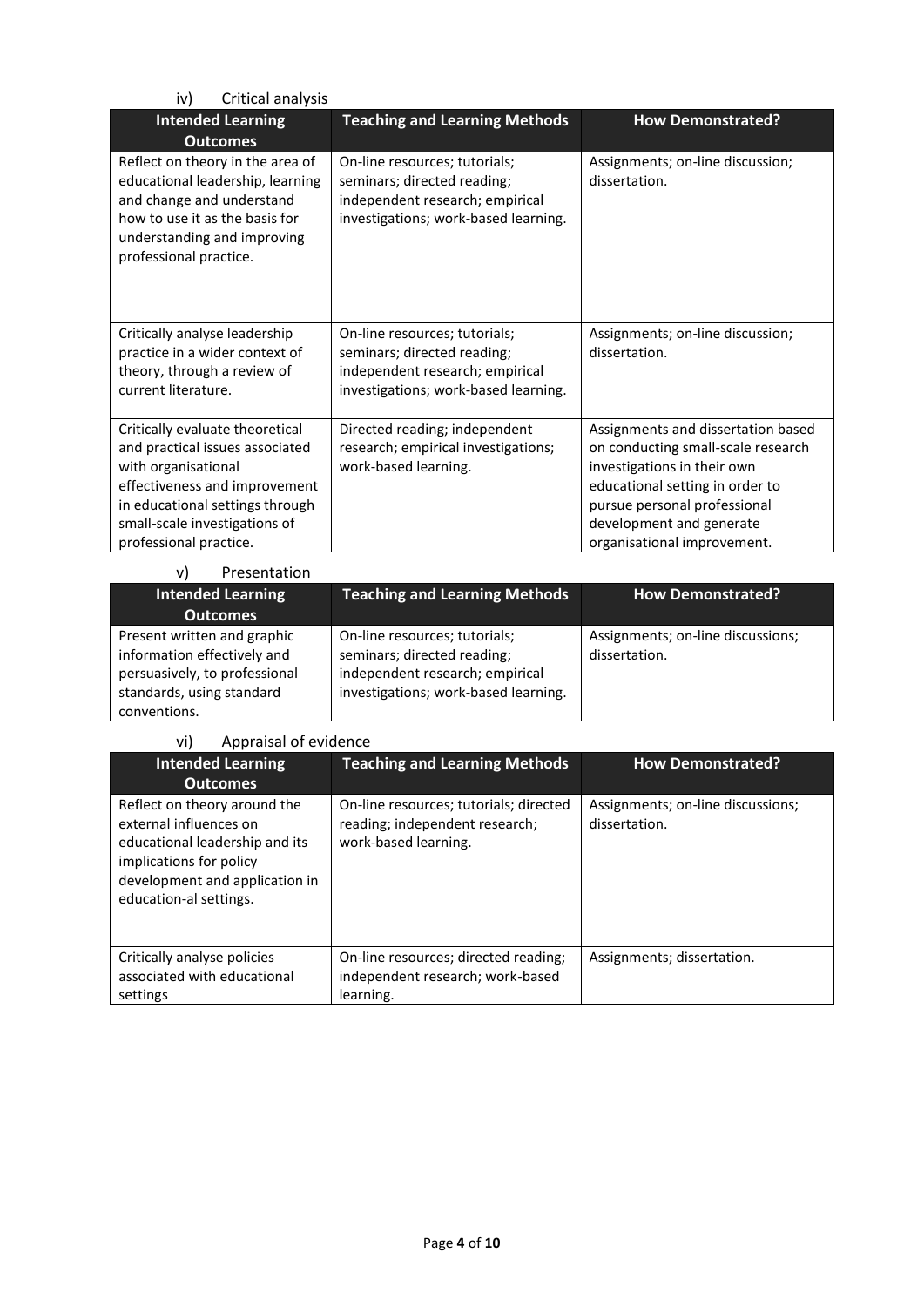| Critical analysis<br>iv)                                                                                                                                                                                                 |                                                                                                                                         |                                                                                                                                                                                                                                       |
|--------------------------------------------------------------------------------------------------------------------------------------------------------------------------------------------------------------------------|-----------------------------------------------------------------------------------------------------------------------------------------|---------------------------------------------------------------------------------------------------------------------------------------------------------------------------------------------------------------------------------------|
| <b>Intended Learning</b><br><b>Outcomes</b>                                                                                                                                                                              | <b>Teaching and Learning Methods</b>                                                                                                    | <b>How Demonstrated?</b>                                                                                                                                                                                                              |
| Reflect on theory in the area of<br>educational leadership, learning<br>and change and understand<br>how to use it as the basis for<br>understanding and improving<br>professional practice.                             | On-line resources; tutorials;<br>seminars; directed reading;<br>independent research; empirical<br>investigations; work-based learning. | Assignments; on-line discussion;<br>dissertation.                                                                                                                                                                                     |
| Critically analyse leadership<br>practice in a wider context of<br>theory, through a review of<br>current literature.                                                                                                    | On-line resources; tutorials;<br>seminars; directed reading;<br>independent research; empirical<br>investigations; work-based learning. | Assignments; on-line discussion;<br>dissertation.                                                                                                                                                                                     |
| Critically evaluate theoretical<br>and practical issues associated<br>with organisational<br>effectiveness and improvement<br>in educational settings through<br>small-scale investigations of<br>professional practice. | Directed reading; independent<br>research; empirical investigations;<br>work-based learning.                                            | Assignments and dissertation based<br>on conducting small-scale research<br>investigations in their own<br>educational setting in order to<br>pursue personal professional<br>development and generate<br>organisational improvement. |

| Presentation<br>vl                                                                                                                       |                                                                                                                                         |                                                    |
|------------------------------------------------------------------------------------------------------------------------------------------|-----------------------------------------------------------------------------------------------------------------------------------------|----------------------------------------------------|
| <b>Intended Learning</b>                                                                                                                 | <b>Teaching and Learning Methods</b>                                                                                                    | <b>How Demonstrated?</b>                           |
| <b>Outcomes</b>                                                                                                                          |                                                                                                                                         |                                                    |
| Present written and graphic<br>information effectively and<br>persuasively, to professional<br>standards, using standard<br>conventions. | On-line resources; tutorials;<br>seminars; directed reading;<br>independent research; empirical<br>investigations; work-based learning. | Assignments; on-line discussions;<br>dissertation. |

#### vi) Appraisal of evidence

| <b>Intended Learning</b><br><b>Outcomes</b>                                                                                                                                     | <b>Teaching and Learning Methods</b>                                                             | <b>How Demonstrated?</b>                           |
|---------------------------------------------------------------------------------------------------------------------------------------------------------------------------------|--------------------------------------------------------------------------------------------------|----------------------------------------------------|
| Reflect on theory around the<br>external influences on<br>educational leadership and its<br>implications for policy<br>development and application in<br>education-al settings. | On-line resources; tutorials; directed<br>reading; independent research;<br>work-based learning. | Assignments; on-line discussions;<br>dissertation. |
| Critically analyse policies<br>associated with educational<br>settings                                                                                                          | On-line resources; directed reading;<br>independent research; work-based<br>learning.            | Assignments; dissertation.                         |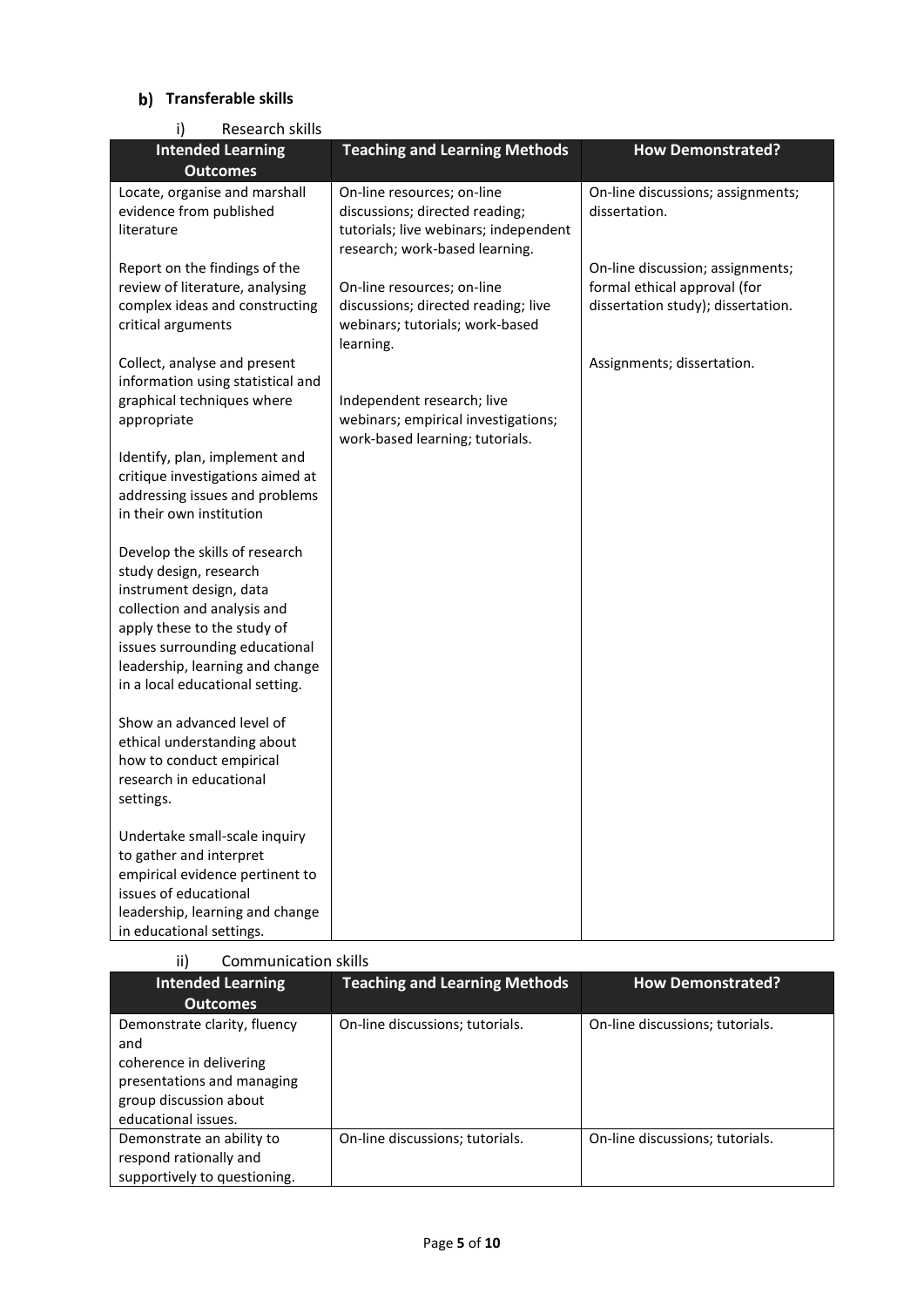## **Transferable skills**

| Research skills<br>i)                                                                                                                                                                                                                                     |                                                                                                                                         |                                                                                                        |
|-----------------------------------------------------------------------------------------------------------------------------------------------------------------------------------------------------------------------------------------------------------|-----------------------------------------------------------------------------------------------------------------------------------------|--------------------------------------------------------------------------------------------------------|
| <b>Intended Learning</b>                                                                                                                                                                                                                                  | <b>Teaching and Learning Methods</b>                                                                                                    | <b>How Demonstrated?</b>                                                                               |
| <b>Outcomes</b>                                                                                                                                                                                                                                           |                                                                                                                                         |                                                                                                        |
| Locate, organise and marshall<br>evidence from published<br>literature                                                                                                                                                                                    | On-line resources; on-line<br>discussions; directed reading;<br>tutorials; live webinars; independent<br>research; work-based learning. | On-line discussions; assignments;<br>dissertation.                                                     |
| Report on the findings of the<br>review of literature, analysing<br>complex ideas and constructing<br>critical arguments                                                                                                                                  | On-line resources; on-line<br>discussions; directed reading; live<br>webinars; tutorials; work-based<br>learning.                       | On-line discussion; assignments;<br>formal ethical approval (for<br>dissertation study); dissertation. |
| Collect, analyse and present<br>information using statistical and<br>graphical techniques where<br>appropriate                                                                                                                                            | Independent research; live<br>webinars; empirical investigations;<br>work-based learning; tutorials.                                    | Assignments; dissertation.                                                                             |
| Identify, plan, implement and<br>critique investigations aimed at<br>addressing issues and problems<br>in their own institution                                                                                                                           |                                                                                                                                         |                                                                                                        |
| Develop the skills of research<br>study design, research<br>instrument design, data<br>collection and analysis and<br>apply these to the study of<br>issues surrounding educational<br>leadership, learning and change<br>in a local educational setting. |                                                                                                                                         |                                                                                                        |
| Show an advanced level of<br>ethical understanding about<br>how to conduct empirical<br>research in educational<br>settings.                                                                                                                              |                                                                                                                                         |                                                                                                        |
| Undertake small-scale inquiry<br>to gather and interpret<br>empirical evidence pertinent to<br>issues of educational<br>leadership, learning and change<br>in educational settings.                                                                       |                                                                                                                                         |                                                                                                        |

| ii)<br><b>Communication skills</b>                                                                                                            |                                      |                                 |
|-----------------------------------------------------------------------------------------------------------------------------------------------|--------------------------------------|---------------------------------|
| <b>Intended Learning</b><br><b>Outcomes</b>                                                                                                   | <b>Teaching and Learning Methods</b> | <b>How Demonstrated?</b>        |
| Demonstrate clarity, fluency<br>and<br>coherence in delivering<br>presentations and managing<br>group discussion about<br>educational issues. | On-line discussions; tutorials.      | On-line discussions; tutorials. |
| Demonstrate an ability to<br>respond rationally and<br>supportively to questioning.                                                           | On-line discussions; tutorials.      | On-line discussions; tutorials. |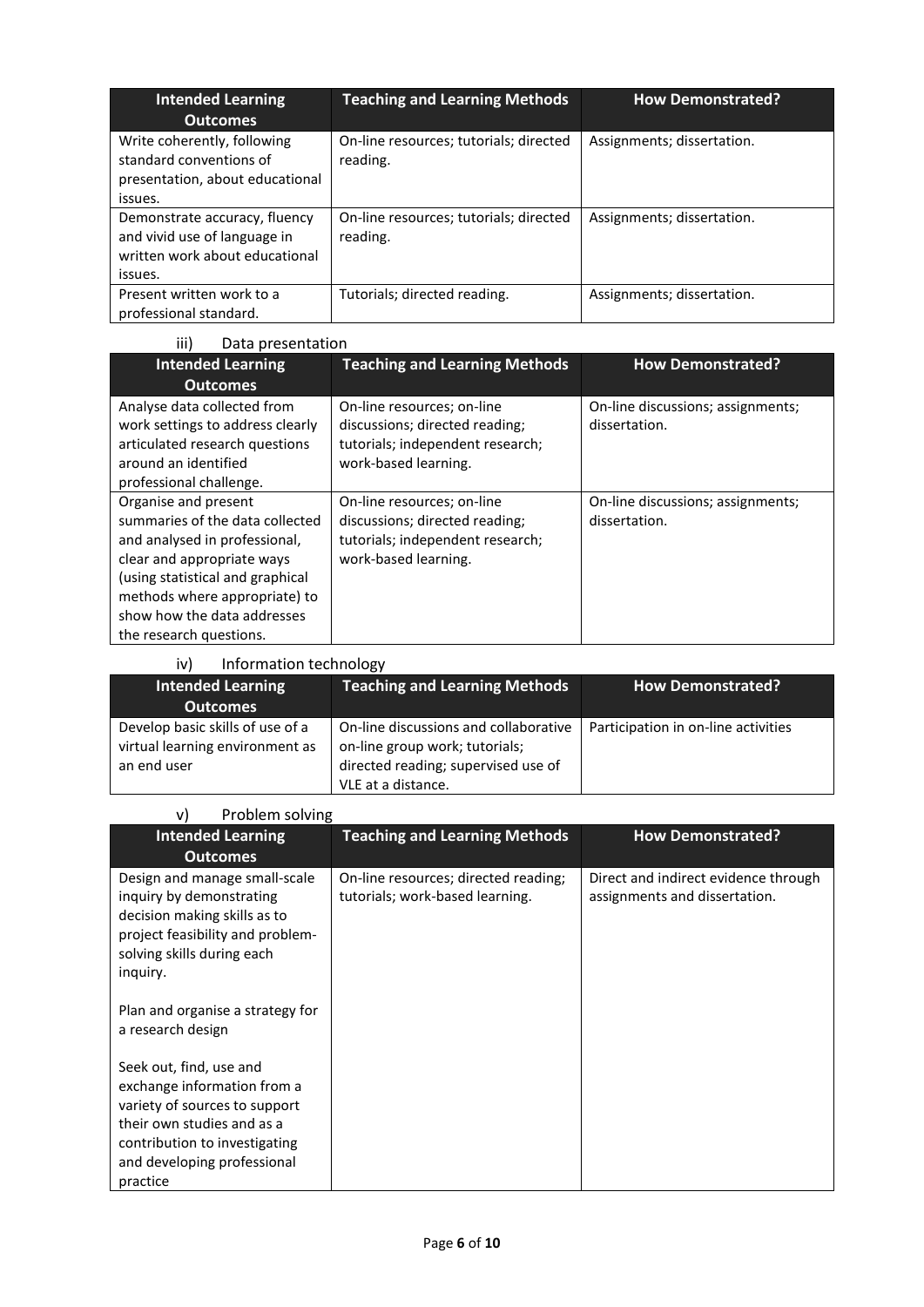| <b>Intended Learning</b><br><b>Outcomes</b>                                                                | <b>Teaching and Learning Methods</b>               | <b>How Demonstrated?</b>   |
|------------------------------------------------------------------------------------------------------------|----------------------------------------------------|----------------------------|
| Write coherently, following<br>standard conventions of<br>presentation, about educational<br>issues.       | On-line resources; tutorials; directed<br>reading. | Assignments; dissertation. |
| Demonstrate accuracy, fluency<br>and vivid use of language in<br>written work about educational<br>issues. | On-line resources; tutorials; directed<br>reading. | Assignments; dissertation. |
| Present written work to a<br>professional standard.                                                        | Tutorials; directed reading.                       | Assignments; dissertation. |

| iii)<br>Data presentation                                                                                                                                                                                                                             |                                                                                                                          |                                                    |
|-------------------------------------------------------------------------------------------------------------------------------------------------------------------------------------------------------------------------------------------------------|--------------------------------------------------------------------------------------------------------------------------|----------------------------------------------------|
| <b>Intended Learning</b>                                                                                                                                                                                                                              | <b>Teaching and Learning Methods</b>                                                                                     | <b>How Demonstrated?</b>                           |
| <b>Outcomes</b>                                                                                                                                                                                                                                       |                                                                                                                          |                                                    |
| Analyse data collected from<br>work settings to address clearly<br>articulated research questions<br>around an identified<br>professional challenge.                                                                                                  | On-line resources; on-line<br>discussions; directed reading;<br>tutorials; independent research;<br>work-based learning. | On-line discussions; assignments;<br>dissertation. |
| Organise and present<br>summaries of the data collected<br>and analysed in professional,<br>clear and appropriate ways<br>(using statistical and graphical<br>methods where appropriate) to<br>show how the data addresses<br>the research questions. | On-line resources; on-line<br>discussions; directed reading;<br>tutorials; independent research;<br>work-based learning. | On-line discussions; assignments;<br>dissertation. |

| Information technology<br>iv)    |                                       |                                     |
|----------------------------------|---------------------------------------|-------------------------------------|
| <b>Intended Learning</b>         | <b>Teaching and Learning Methods</b>  | <b>How Demonstrated?</b>            |
| <b>Outcomes</b>                  |                                       |                                     |
| Develop basic skills of use of a | On-line discussions and collaborative | Participation in on-line activities |
| virtual learning environment as  | on-line group work; tutorials;        |                                     |
| an end user                      | directed reading; supervised use of   |                                     |
|                                  | VLE at a distance.                    |                                     |

| Problem solving<br>v)                                                                                                                                                                             |                                                                         |                                                                       |  |  |
|---------------------------------------------------------------------------------------------------------------------------------------------------------------------------------------------------|-------------------------------------------------------------------------|-----------------------------------------------------------------------|--|--|
| <b>Intended Learning</b><br><b>Outcomes</b>                                                                                                                                                       | <b>Teaching and Learning Methods</b>                                    | <b>How Demonstrated?</b>                                              |  |  |
| Design and manage small-scale<br>inquiry by demonstrating<br>decision making skills as to<br>project feasibility and problem-<br>solving skills during each<br>inquiry.                           | On-line resources; directed reading;<br>tutorials; work-based learning. | Direct and indirect evidence through<br>assignments and dissertation. |  |  |
| Plan and organise a strategy for<br>a research design                                                                                                                                             |                                                                         |                                                                       |  |  |
| Seek out, find, use and<br>exchange information from a<br>variety of sources to support<br>their own studies and as a<br>contribution to investigating<br>and developing professional<br>practice |                                                                         |                                                                       |  |  |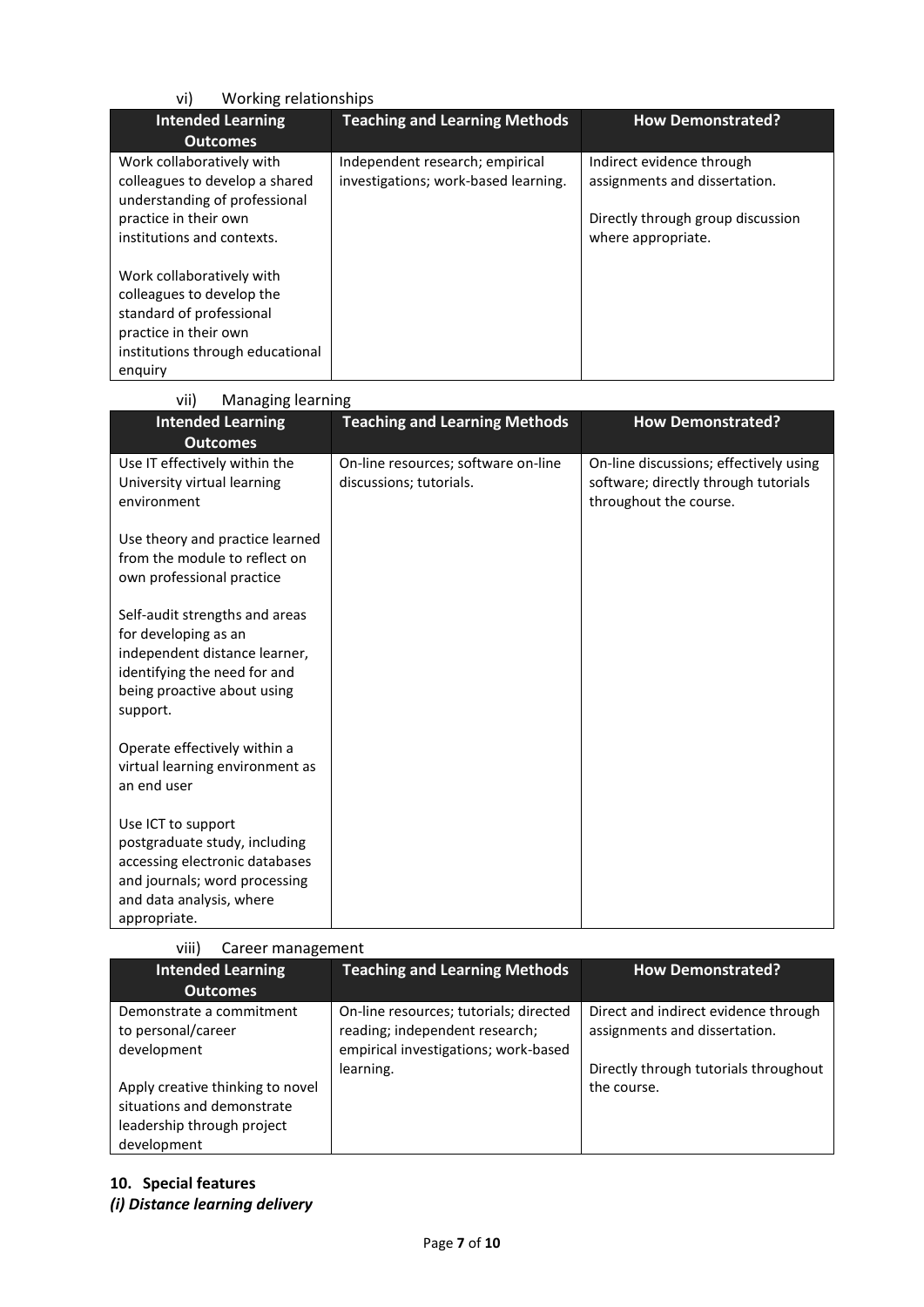| Working relationships<br>vi)                                                                                                                               |                                                                         |                                                                                                                       |  |  |
|------------------------------------------------------------------------------------------------------------------------------------------------------------|-------------------------------------------------------------------------|-----------------------------------------------------------------------------------------------------------------------|--|--|
| <b>Intended Learning</b>                                                                                                                                   | <b>Teaching and Learning Methods</b>                                    | <b>How Demonstrated?</b>                                                                                              |  |  |
| <b>Outcomes</b>                                                                                                                                            |                                                                         |                                                                                                                       |  |  |
| Work collaboratively with<br>colleagues to develop a shared<br>understanding of professional<br>practice in their own<br>institutions and contexts.        | Independent research; empirical<br>investigations; work-based learning. | Indirect evidence through<br>assignments and dissertation.<br>Directly through group discussion<br>where appropriate. |  |  |
| Work collaboratively with<br>colleagues to develop the<br>standard of professional<br>practice in their own<br>institutions through educational<br>enguiry |                                                                         |                                                                                                                       |  |  |

vii) Managing learning

| םיייייישטי םיייםשיישייי                                                                                                                                            |                                                                |                                                                                                          |
|--------------------------------------------------------------------------------------------------------------------------------------------------------------------|----------------------------------------------------------------|----------------------------------------------------------------------------------------------------------|
| <b>Intended Learning</b>                                                                                                                                           | <b>Teaching and Learning Methods</b>                           | <b>How Demonstrated?</b>                                                                                 |
| <b>Outcomes</b>                                                                                                                                                    |                                                                |                                                                                                          |
| Use IT effectively within the<br>University virtual learning<br>environment                                                                                        | On-line resources; software on-line<br>discussions; tutorials. | On-line discussions; effectively using<br>software; directly through tutorials<br>throughout the course. |
| Use theory and practice learned<br>from the module to reflect on<br>own professional practice                                                                      |                                                                |                                                                                                          |
| Self-audit strengths and areas<br>for developing as an<br>independent distance learner,<br>identifying the need for and<br>being proactive about using<br>support. |                                                                |                                                                                                          |
| Operate effectively within a<br>virtual learning environment as<br>an end user                                                                                     |                                                                |                                                                                                          |
| Use ICT to support<br>postgraduate study, including<br>accessing electronic databases<br>and journals; word processing<br>and data analysis, where<br>appropriate. |                                                                |                                                                                                          |

#### viii) Career management

| <b>Intended Learning</b>                                                                                    | <b>Teaching and Learning Methods</b>                                                                             | <b>How Demonstrated?</b>                                              |
|-------------------------------------------------------------------------------------------------------------|------------------------------------------------------------------------------------------------------------------|-----------------------------------------------------------------------|
| <b>Outcomes</b>                                                                                             |                                                                                                                  |                                                                       |
| Demonstrate a commitment<br>to personal/career<br>development                                               | On-line resources; tutorials; directed<br>reading; independent research;<br>empirical investigations; work-based | Direct and indirect evidence through<br>assignments and dissertation. |
| Apply creative thinking to novel<br>situations and demonstrate<br>leadership through project<br>development | learning.                                                                                                        | Directly through tutorials throughout<br>the course.                  |

# **10. Special features**

*(i) Distance learning delivery*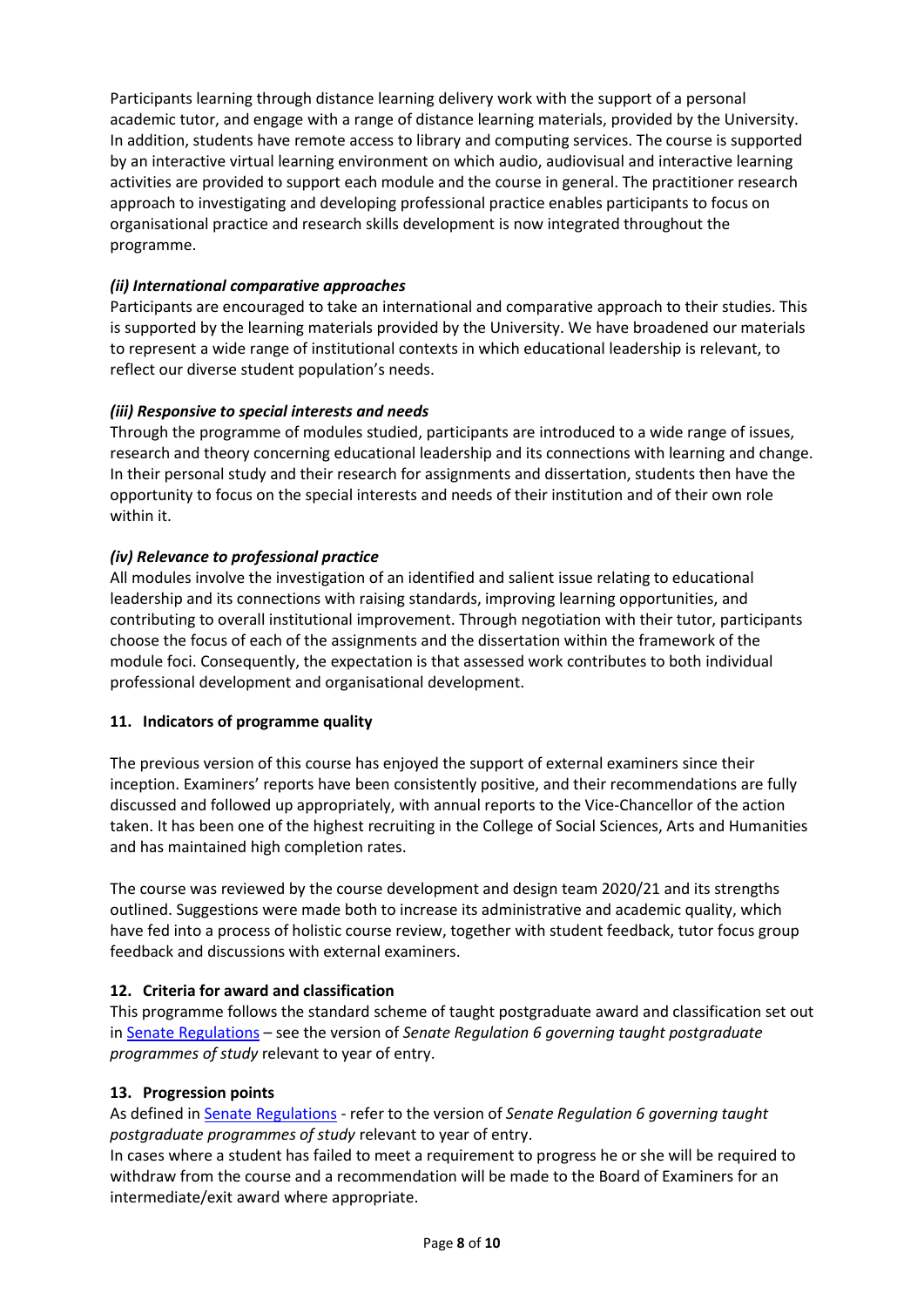Participants learning through distance learning delivery work with the support of a personal academic tutor, and engage with a range of distance learning materials, provided by the University. In addition, students have remote access to library and computing services. The course is supported by an interactive virtual learning environment on which audio, audiovisual and interactive learning activities are provided to support each module and the course in general. The practitioner research approach to investigating and developing professional practice enables participants to focus on organisational practice and research skills development is now integrated throughout the programme.

#### *(ii) International comparative approaches*

Participants are encouraged to take an international and comparative approach to their studies. This is supported by the learning materials provided by the University. We have broadened our materials to represent a wide range of institutional contexts in which educational leadership is relevant, to reflect our diverse student population's needs.

#### *(iii) Responsive to special interests and needs*

Through the programme of modules studied, participants are introduced to a wide range of issues, research and theory concerning educational leadership and its connections with learning and change. In their personal study and their research for assignments and dissertation, students then have the opportunity to focus on the special interests and needs of their institution and of their own role within it.

#### *(iv) Relevance to professional practice*

All modules involve the investigation of an identified and salient issue relating to educational leadership and its connections with raising standards, improving learning opportunities, and contributing to overall institutional improvement. Through negotiation with their tutor, participants choose the focus of each of the assignments and the dissertation within the framework of the module foci. Consequently, the expectation is that assessed work contributes to both individual professional development and organisational development.

#### **11. Indicators of programme quality**

The previous version of this course has enjoyed the support of external examiners since their inception. Examiners' reports have been consistently positive, and their recommendations are fully discussed and followed up appropriately, with annual reports to the Vice-Chancellor of the action taken. It has been one of the highest recruiting in the College of Social Sciences, Arts and Humanities and has maintained high completion rates.

The course was reviewed by the course development and design team 2020/21 and its strengths outlined. Suggestions were made both to increase its administrative and academic quality, which have fed into a process of holistic course review, together with student feedback, tutor focus group feedback and discussions with external examiners.

#### **12. Criteria for award and classification**

This programme follows the standard scheme of taught postgraduate award and classification set out i[n Senate Regulations](http://www.le.ac.uk/senate-regulations) – see the version of *Senate Regulation 6 governing taught postgraduate programmes of study* relevant to year of entry.

#### **13. Progression points**

As defined i[n Senate Regulations](http://www.le.ac.uk/senate-regulation6) - refer to the version of *Senate Regulation 6 governing taught postgraduate programmes of study* relevant to year of entry.

In cases where a student has failed to meet a requirement to progress he or she will be required to withdraw from the course and a recommendation will be made to the Board of Examiners for an intermediate/exit award where appropriate.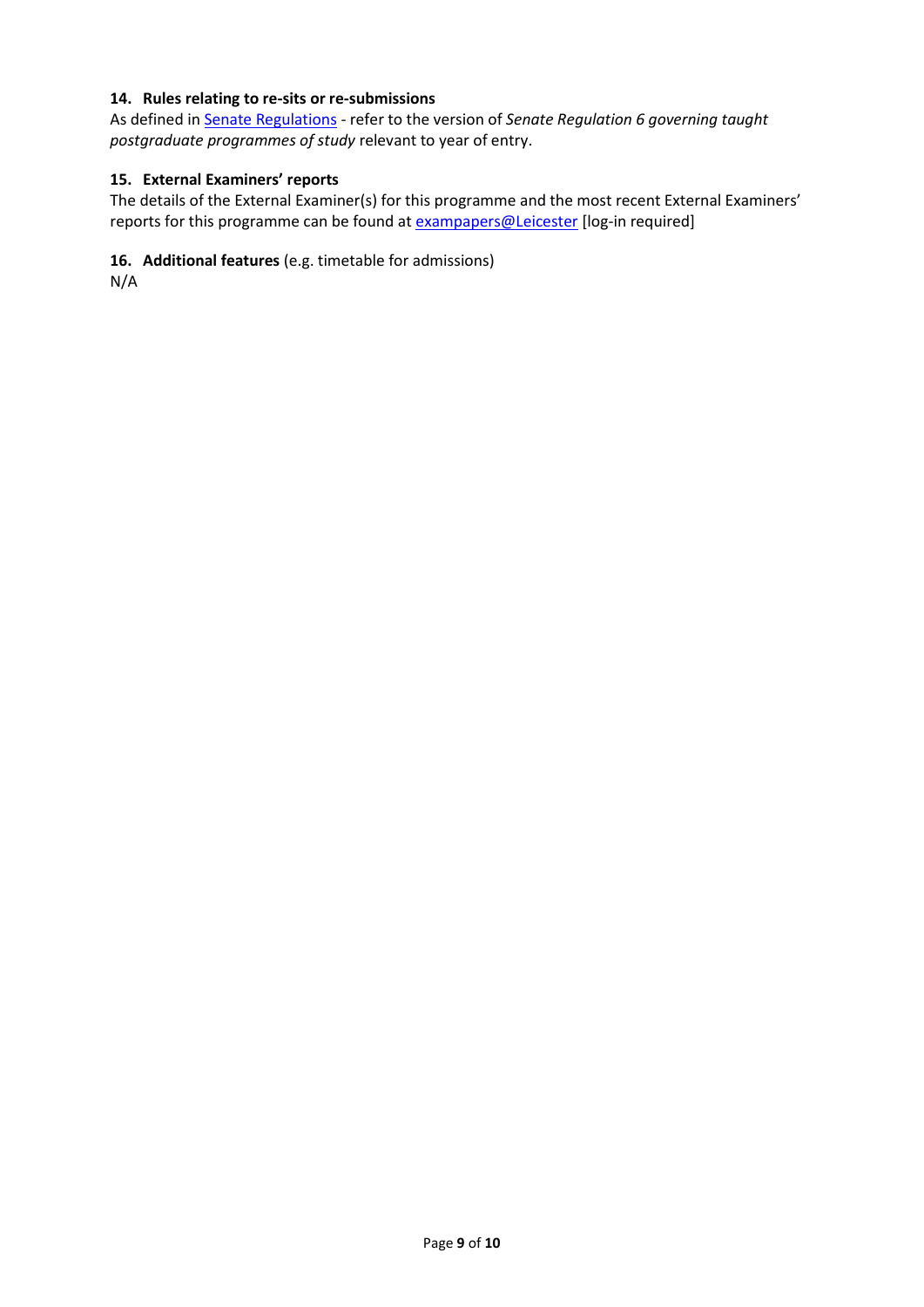#### **14. Rules relating to re-sits or re-submissions**

As defined i[n Senate Regulations](http://www.le.ac.uk/senate-regulation6) - refer to the version of *Senate Regulation 6 governing taught postgraduate programmes of study* relevant to year of entry.

#### **15. External Examiners' reports**

The details of the External Examiner(s) for this programme and the most recent External Examiners' reports for this programme can be found at **exampapers@Leicester** [log-in required]

#### **16. Additional features** (e.g. timetable for admissions)

N/A